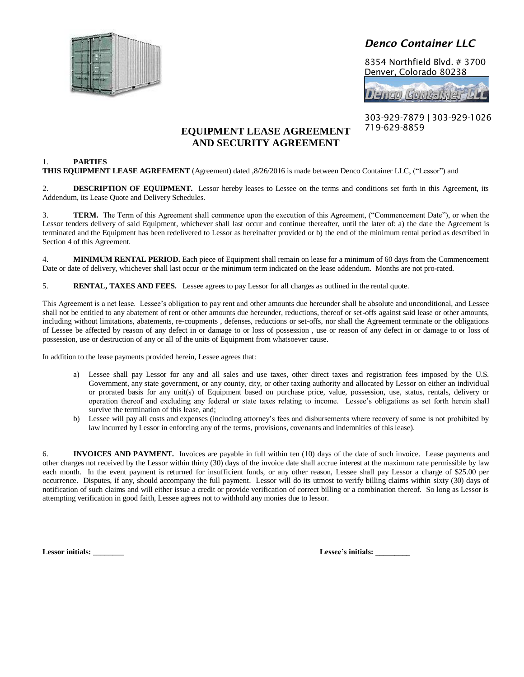

# *Denco Container LLC*

8354 Northfield Blvd. # 3700 Denver, Colorado 80238

**Denco Container LLL** 

303-929-7879 | 303-929-1026 719-629-8859

# **EQUIPMENT LEASE AGREEMENT AND SECURITY AGREEMENT**

# 1. **PARTIES**

**THIS EQUIPMENT LEASE AGREEMENT** (Agreement) dated ,8/26/2016 is made between Denco Container LLC, ("Lessor") and

2. **DESCRIPTION OF EQUIPMENT.** Lessor hereby leases to Lessee on the terms and conditions set forth in this Agreement, its Addendum, its Lease Quote and Delivery Schedules.

3. **TERM.** The Term of this Agreement shall commence upon the execution of this Agreement, ("Commencement Date"), or when the Lessor tenders delivery of said Equipment, whichever shall last occur and continue thereafter, until the later of: a) the date the Agreement is terminated and the Equipment has been redelivered to Lessor as hereinafter provided or b) the end of the minimum rental period as described in Section 4 of this Agreement.

4. **MINIMUM RENTAL PERIOD.** Each piece of Equipment shall remain on lease for a minimum of 60 days from the Commencement Date or date of delivery, whichever shall last occur or the minimum term indicated on the lease addendum. Months are not pro-rated.

5. **RENTAL, TAXES AND FEES.** Lessee agrees to pay Lessor for all charges as outlined in the rental quote.

This Agreement is a net lease. Lessee's obligation to pay rent and other amounts due hereunder shall be absolute and unconditional, and Lessee shall not be entitled to any abatement of rent or other amounts due hereunder, reductions, thereof or set-offs against said lease or other amounts, including without limitations, abatements, re-coupments , defenses, reductions or set-offs, nor shall the Agreement terminate or the obligations of Lessee be affected by reason of any defect in or damage to or loss of possession , use or reason of any defect in or damage to or loss of possession, use or destruction of any or all of the units of Equipment from whatsoever cause.

In addition to the lease payments provided herein, Lessee agrees that:

- a) Lessee shall pay Lessor for any and all sales and use taxes, other direct taxes and registration fees imposed by the U.S. Government, any state government, or any county, city, or other taxing authority and allocated by Lessor on either an individual or prorated basis for any unit(s) of Equipment based on purchase price, value, possession, use, status, rentals, delivery or operation thereof and excluding any federal or state taxes relating to income. Lessee's obligations as set forth herein shall survive the termination of this lease, and;
- b) Lessee will pay all costs and expenses (including attorney's fees and disbursements where recovery of same is not prohibited by law incurred by Lessor in enforcing any of the terms, provisions, covenants and indemnities of this lease).

6. **INVOICES AND PAYMENT.** Invoices are payable in full within ten (10) days of the date of such invoice. Lease payments and other charges not received by the Lessor within thirty (30) days of the invoice date shall accrue interest at the maximum rate permissible by law each month. In the event payment is returned for insufficient funds, or any other reason, Lessee shall pay Lessor a charge of \$25.00 per occurrence. Disputes, if any, should accompany the full payment. Lessor will do its utmost to verify billing claims within sixty (30) days of notification of such claims and will either issue a credit or provide verification of correct billing or a combination thereof. So long as Lessor is attempting verification in good faith, Lessee agrees not to withhold any monies due to lessor.

**Lessor initials: \_\_\_\_\_\_\_\_ Lessee's initials: \_\_\_\_\_\_\_\_\_**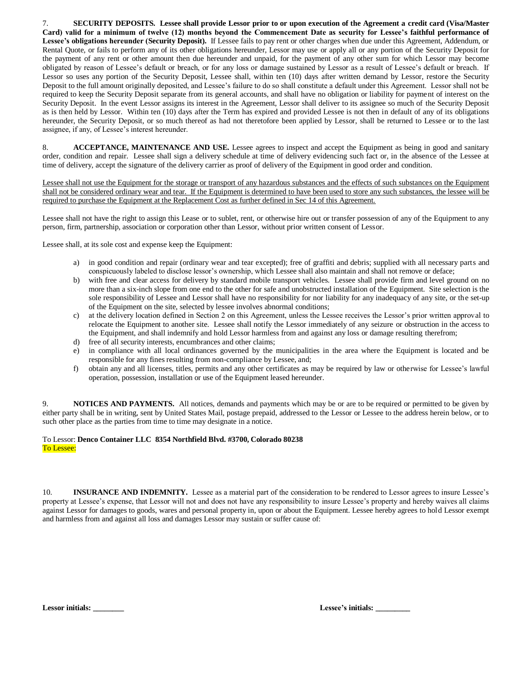7. **SECURITY DEPOSITS. Lessee shall provide Lessor prior to or upon execution of the Agreement a credit card (Visa/Master Card) valid for a minimum of twelve (12) months beyond the Commencement Date as security for Lessee's faithful performance of Lessee's obligations hereunder (Security Deposit).** If Lessee fails to pay rent or other charges when due under this Agreement, Addendum, or Rental Quote, or fails to perform any of its other obligations hereunder, Lessor may use or apply all or any portion of the Security Deposit for the payment of any rent or other amount then due hereunder and unpaid, for the payment of any other sum for which Lessor may become obligated by reason of Lessee's default or breach, or for any loss or damage sustained by Lessor as a result of Lessee's default or breach. If Lessor so uses any portion of the Security Deposit, Lessee shall, within ten (10) days after written demand by Lessor, restore the Security Deposit to the full amount originally deposited, and Lessee's failure to do so shall constitute a default under this Agreement. Lessor shall not be required to keep the Security Deposit separate from its general accounts, and shall have no obligation or liability for payment of interest on the Security Deposit. In the event Lessor assigns its interest in the Agreement, Lessor shall deliver to its assignee so much of the Security Deposit as is then held by Lessor. Within ten (10) days after the Term has expired and provided Lessee is not then in default of any of its obligations hereunder, the Security Deposit, or so much thereof as had not theretofore been applied by Lessor, shall be returned to Lessee or to the last assignee, if any, of Lessee's interest hereunder.

8. **ACCEPTANCE, MAINTENANCE AND USE.** Lessee agrees to inspect and accept the Equipment as being in good and sanitary order, condition and repair. Lessee shall sign a delivery schedule at time of delivery evidencing such fact or, in the absence of the Lessee at time of delivery, accept the signature of the delivery carrier as proof of delivery of the Equipment in good order and condition.

Lessee shall not use the Equipment for the storage or transport of any hazardous substances and the effects of such substances on the Equipment shall not be considered ordinary wear and tear. If the Equipment is determined to have been used to store any such substances, the lessee will be required to purchase the Equipment at the Replacement Cost as further defined in Sec 14 of this Agreement.

Lessee shall not have the right to assign this Lease or to sublet, rent, or otherwise hire out or transfer possession of any of the Equipment to any person, firm, partnership, association or corporation other than Lessor, without prior written consent of Lessor.

Lessee shall, at its sole cost and expense keep the Equipment:

- a) in good condition and repair (ordinary wear and tear excepted); free of graffiti and debris; supplied with all necessary parts and conspicuously labeled to disclose lessor's ownership, which Lessee shall also maintain and shall not remove or deface;
- b) with free and clear access for delivery by standard mobile transport vehicles. Lessee shall provide firm and level ground on no more than a six-inch slope from one end to the other for safe and unobstructed installation of the Equipment. Site selection is the sole responsibility of Lessee and Lessor shall have no responsibility for nor liability for any inadequacy of any site, or the set-up of the Equipment on the site, selected by lessee involves abnormal conditions;
- c) at the delivery location defined in Section 2 on this Agreement, unless the Lessee receives the Lessor's prior written approval to relocate the Equipment to another site. Lessee shall notify the Lessor immediately of any seizure or obstruction in the access to the Equipment, and shall indemnify and hold Lessor harmless from and against any loss or damage resulting therefrom;
- d) free of all security interests, encumbrances and other claims;
- e) in compliance with all local ordinances governed by the municipalities in the area where the Equipment is located and be responsible for any fines resulting from non-compliance by Lessee, and;
- f) obtain any and all licenses, titles, permits and any other certificates as may be required by law or otherwise for Lessee's lawful operation, possession, installation or use of the Equipment leased hereunder.

9. **NOTICES AND PAYMENTS.** All notices, demands and payments which may be or are to be required or permitted to be given by either party shall be in writing, sent by United States Mail, postage prepaid, addressed to the Lessor or Lessee to the address herein below, or to such other place as the parties from time to time may designate in a notice.

### To Lessor: **Denco Container LLC 8354 Northfield Blvd. #3700, Colorado 80238** To Lessee:

10. **INSURANCE AND INDEMNITY.** Lessee as a material part of the consideration to be rendered to Lessor agrees to insure Lessee's property at Lessee's expense, that Lessor will not and does not have any responsibility to insure Lessee's property and hereby waives all claims against Lessor for damages to goods, wares and personal property in, upon or about the Equipment. Lessee hereby agrees to hold Lessor exempt and harmless from and against all loss and damages Lessor may sustain or suffer cause of:

|  | Lessee's initials: |  |
|--|--------------------|--|
|--|--------------------|--|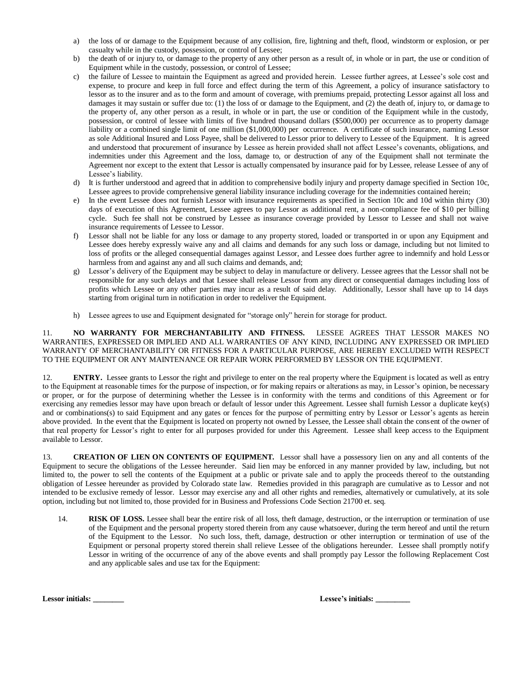- a) the loss of or damage to the Equipment because of any collision, fire, lightning and theft, flood, windstorm or explosion, or per casualty while in the custody, possession, or control of Lessee;
- b) the death of or injury to, or damage to the property of any other person as a result of, in whole or in part, the use or condition of Equipment while in the custody, possession, or control of Lessee;
- c) the failure of Lessee to maintain the Equipment as agreed and provided herein. Lessee further agrees, at Lessee's sole cost and expense, to procure and keep in full force and effect during the term of this Agreement, a policy of insurance satisfactory to lessor as to the insurer and as to the form and amount of coverage, with premiums prepaid, protecting Lessor against all loss and damages it may sustain or suffer due to: (1) the loss of or damage to the Equipment, and (2) the death of, injury to, or damage to the property of, any other person as a result, in whole or in part, the use or condition of the Equipment while in the custody, possession, or control of lessee with limits of five hundred thousand dollars (\$500,000) per occurrence as to property damage liability or a combined single limit of one million (\$1,000,000) per occurrence. A certificate of such insurance, naming Lessor as sole Additional Insured and Loss Payee, shall be delivered to Lessor prior to delivery to Lessee of the Equipment. It is agreed and understood that procurement of insurance by Lessee as herein provided shall not affect Lessee's covenants, obligations, and indemnities under this Agreement and the loss, damage to, or destruction of any of the Equipment shall not terminate the Agreement nor except to the extent that Lessor is actually compensated by insurance paid for by Lessee, release Lessee of any of Lessee's liability.
- d) It is further understood and agreed that in addition to comprehensive bodily injury and property damage specified in Section 10c, Lessee agrees to provide comprehensive general liability insurance including coverage for the indemnities contained herein;
- e) In the event Lessee does not furnish Lessor with insurance requirements as specified in Section 10c and 10d within thirty (30) days of execution of this Agreement, Lessee agrees to pay Lessor as additional rent, a non-compliance fee of \$10 per billing cycle. Such fee shall not be construed by Lessee as insurance coverage provided by Lessor to Lessee and shall not waive insurance requirements of Lessee to Lessor.
- f) Lessor shall not be liable for any loss or damage to any property stored, loaded or transported in or upon any Equipment and Lessee does hereby expressly waive any and all claims and demands for any such loss or damage, including but not limited to loss of profits or the alleged consequential damages against Lessor, and Lessee does further agree to indemnify and hold Lessor harmless from and against any and all such claims and demands, and;
- g) Lessor's delivery of the Equipment may be subject to delay in manufacture or delivery. Lessee agrees that the Lessor shall not be responsible for any such delays and that Lessee shall release Lessor from any direct or consequential damages including loss of profits which Lessee or any other parties may incur as a result of said delay. Additionally, Lessor shall have up to 14 days starting from original turn in notification in order to redeliver the Equipment.
- h) Lessee agrees to use and Equipment designated for "storage only" herein for storage for product.

## 11. **NO WARRANTY FOR MERCHANTABILITY AND FITNESS.** LESSEE AGREES THAT LESSOR MAKES NO WARRANTIES, EXPRESSED OR IMPLIED AND ALL WARRANTIES OF ANY KIND, INCLUDING ANY EXPRESSED OR IMPLIED WARRANTY OF MERCHANTABILITY OR FITNESS FOR A PARTICULAR PURPOSE, ARE HEREBY EXCLUDED WITH RESPECT TO THE EQUIPMENT OR ANY MAINTENANCE OR REPAIR WORK PERFORMED BY LESSOR ON THE EQUIPMENT.

12. **ENTRY.** Lessee grants to Lessor the right and privilege to enter on the real property where the Equipment is located as well as entry to the Equipment at reasonable times for the purpose of inspection, or for making repairs or alterations as may, in Lessor's opinion, be necessary or proper, or for the purpose of determining whether the Lessee is in conformity with the terms and conditions of this Agreement or for exercising any remedies lessor may have upon breach or default of lessor under this Agreement. Lessee shall furnish Lessor a duplicate key(s) and or combinations(s) to said Equipment and any gates or fences for the purpose of permitting entry by Lessor or Lessor's agents as herein above provided. In the event that the Equipment is located on property not owned by Lessee, the Lessee shall obtain the consent of the owner of that real property for Lessor's right to enter for all purposes provided for under this Agreement. Lessee shall keep access to the Equipment available to Lessor.

13. **CREATION OF LIEN ON CONTENTS OF EQUIPMENT.** Lessor shall have a possessory lien on any and all contents of the Equipment to secure the obligations of the Lessee hereunder. Said lien may be enforced in any manner provided by law, including, but not limited to, the power to sell the contents of the Equipment at a public or private sale and to apply the proceeds thereof to the outstanding obligation of Lessee hereunder as provided by Colorado state law. Remedies provided in this paragraph are cumulative as to Lessor and not intended to be exclusive remedy of lessor. Lessor may exercise any and all other rights and remedies, alternatively or cumulatively, at its sole option, including but not limited to, those provided for in Business and Professions Code Section 21700 et. seq.

14. **RISK OF LOSS.** Lessee shall bear the entire risk of all loss, theft damage, destruction, or the interruption or termination of use of the Equipment and the personal property stored therein from any cause whatsoever, during the term hereof and until the return of the Equipment to the Lessor. No such loss, theft, damage, destruction or other interruption or termination of use of the Equipment or personal property stored therein shall relieve Lessee of the obligations hereunder. Lessee shall promptly notify Lessor in writing of the occurrence of any of the above events and shall promptly pay Lessor the following Replacement Cost and any applicable sales and use tax for the Equipment:

|  | <b>Lessor initials:</b> |  |
|--|-------------------------|--|
|--|-------------------------|--|

Lessee's initials: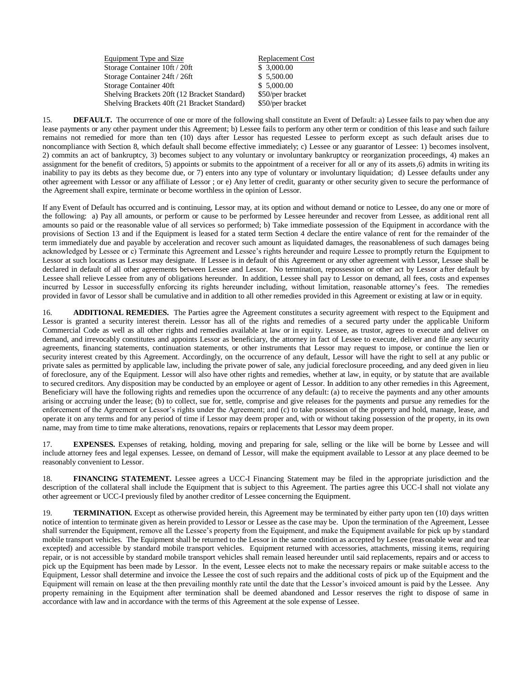| Equipment Type and Size                      | <b>Replacement Cost</b> |
|----------------------------------------------|-------------------------|
| Storage Container 10ft / 20ft                | \$3,000.00              |
| Storage Container 24ft / 26ft                | \$5,500.00              |
| Storage Container 40ft                       | \$5,000.00              |
| Shelving Brackets 20ft (12 Bracket Standard) | \$50/per bracket        |
| Shelving Brackets 40ft (21 Bracket Standard) | \$50/per bracket        |

15. **DEFAULT.** The occurrence of one or more of the following shall constitute an Event of Default: a) Lessee fails to pay when due any lease payments or any other payment under this Agreement; b) Lessee fails to perform any other term or condition of this lease and such failure remains not remedied for more than ten (10) days after Lessor has requested Lessee to perform except as such default arises due to noncompliance with Section 8, which default shall become effective immediately; c) Lessee or any guarantor of Lessee: 1) becomes insolvent, 2) commits an act of bankruptcy, 3) becomes subject to any voluntary or involuntary bankruptcy or reorganization proceedings, 4) makes an assignment for the benefit of creditors, 5) appoints or submits to the appointment of a receiver for all or any of its assets,6) admits in writing its inability to pay its debts as they become due, or 7) enters into any type of voluntary or involuntary liquidation; d) Lessee defaults under any other agreement with Lessor or any affiliate of Lessor ; or e) Any letter of credit, guaranty or other security given to secure the performance of the Agreement shall expire, terminate or become worthless in the opinion of Lessor.

If any Event of Default has occurred and is continuing, Lessor may, at its option and without demand or notice to Lessee, do any one or more of the following: a) Pay all amounts, or perform or cause to be performed by Lessee hereunder and recover from Lessee, as additional rent all amounts so paid or the reasonable value of all services so performed; b) Take immediate possession of the Equipment in accordance with the provisions of Section 13 and if the Equipment is leased for a stated term Section 4 declare the entire valance of rent for the remainder of the term immediately due and payable by acceleration and recover such amount as liquidated damages, the reasonableness of such damages being acknowledged by Lessee or c) Terminate this Agreement and Lessee's rights hereunder and require Lessee to promptly return the Equipment to Lessor at such locations as Lessor may designate. If Lessee is in default of this Agreement or any other agreement with Lessor, Lessee shall be declared in default of all other agreements between Lessee and Lessor. No termination, repossession or other act by Lessor after default by Lessee shall relieve Lessee from any of obligations hereunder. In addition, Lessee shall pay to Lessor on demand, all fees, costs and expenses incurred by Lessor in successfully enforcing its rights hereunder including, without limitation, reasonable attorney's fees. The remedies provided in favor of Lessor shall be cumulative and in addition to all other remedies provided in this Agreement or existing at law or in equity.

16. **ADDITIONAL REMEDIES.** The Parties agree the Agreement constitutes a security agreement with respect to the Equipment and Lessor is granted a security interest therein. Lessor has all of the rights and remedies of a secured party under the applicable Uniform Commercial Code as well as all other rights and remedies available at law or in equity. Lessee, as trustor, agrees to execute and deliver on demand, and irrevocably constitutes and appoints Lessor as beneficiary, the attorney in fact of Lessee to execute, deliver and file any security agreements, financing statements, continuation statements, or other instruments that Lessor may request to impose, or continue the lien or security interest created by this Agreement. Accordingly, on the occurrence of any default, Lessor will have the right to sell at any public or private sales as permitted by applicable law, including the private power of sale, any judicial foreclosure proceeding, and any deed given in lieu of foreclosure, any of the Equipment. Lessor will also have other rights and remedies, whether at law, in equity, or by statute that are available to secured creditors. Any disposition may be conducted by an employee or agent of Lessor. In addition to any other remedies in this Agreement, Beneficiary will have the following rights and remedies upon the occurrence of any default: (a) to receive the payments and any other amounts arising or accruing under the lease; (b) to collect, sue for, settle, comprise and give releases for the payments and pursue any remedies for the enforcement of the Agreement or Lessor's rights under the Agreement; and (c) to take possession of the property and hold, manage, lease, and operate it on any terms and for any period of time if Lessor may deem proper and, with or without taking possession of the property, in its own name, may from time to time make alterations, renovations, repairs or replacements that Lessor may deem proper.

17. **EXPENSES.** Expenses of retaking, holding, moving and preparing for sale, selling or the like will be borne by Lessee and will include attorney fees and legal expenses. Lessee, on demand of Lessor, will make the equipment available to Lessor at any place deemed to be reasonably convenient to Lessor.

18. **FINANCING STATEMENT.** Lessee agrees a UCC-I Financing Statement may be filed in the appropriate jurisdiction and the description of the collateral shall include the Equipment that is subject to this Agreement. The parties agree this UCC-I shall not violate any other agreement or UCC-I previously filed by another creditor of Lessee concerning the Equipment.

19. **TERMINATION.** Except as otherwise provided herein, this Agreement may be terminated by either party upon ten (10) days written notice of intention to terminate given as herein provided to Lessor or Lessee as the case may be. Upon the termination of the Agreement, Lessee shall surrender the Equipment, remove all the Lessee's property from the Equipment, and make the Equipment available for pick up by standard mobile transport vehicles. The Equipment shall be returned to the Lessor in the same condition as accepted by Lessee (reasonable wear and tear excepted) and accessible by standard mobile transport vehicles. Equipment returned with accessories, attachments, missing items, requiring repair, or is not accessible by standard mobile transport vehicles shall remain leased hereunder until said replacements, repairs and or access to pick up the Equipment has been made by Lessor. In the event, Lessee elects not to make the necessary repairs or make suitable access to the Equipment, Lessor shall determine and invoice the Lessee the cost of such repairs and the additional costs of pick up of the Equipment and the Equipment will remain on lease at the then prevailing monthly rate until the date that the Lessor's invoiced amount is paid by the Lessee. Any property remaining in the Equipment after termination shall be deemed abandoned and Lessor reserves the right to dispose of same in accordance with law and in accordance with the terms of this Agreement at the sole expense of Lessee.